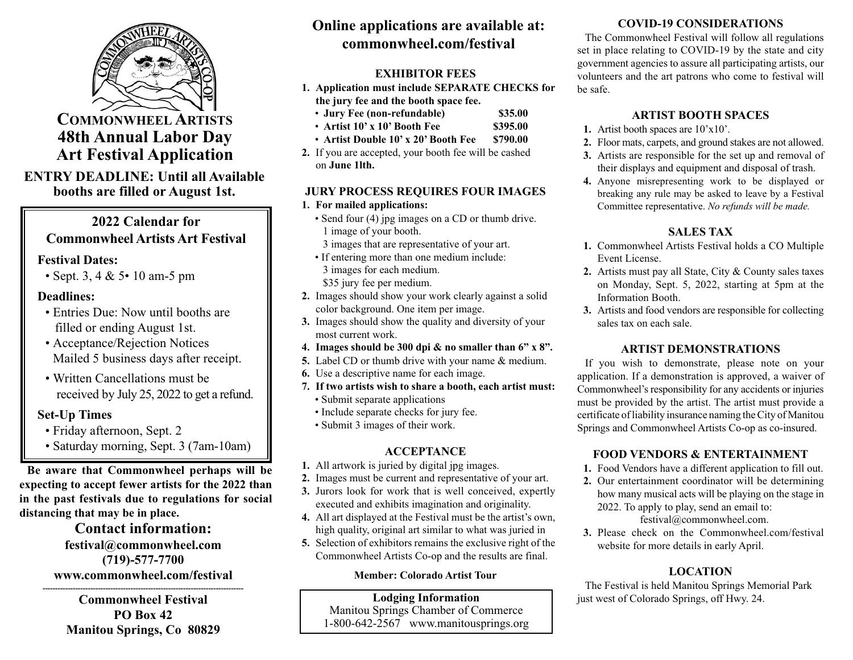

**COMMONWHEEL ARTISTS 48th Annual Labor Day Art Festival Application**

### **ENTRY DEADLINE: Until all Available booths are filled or August 1st.**

## **2022 Calendar for Commonwheel Artists Art Festival**

#### **Festival Dates:**

• Sept. 3, 4 & 5• 10 am-5 pm

### **Deadlines:**

- Entries Due: Now until booths are filled or ending August 1st.
- Acceptance/Rejection Notices Mailed 5 business days after receipt.
- Written Cancellations must be received by July 25, 2022 to get a refund.

## **Set-Up Times**

- Friday afternoon, Sept. 2
- Saturday morning, Sept. 3 (7am-10am)

**Be aware that Commonwheel perhaps will be expecting to accept fewer artists for the 2022 than in the past festivals due to regulations for social distancing that may be in place.**

### **Contact information: festival@commonwheel.com (719)-577-7700 www.commonwheel.com/festival**

**-------------------------------------------------------------------------------- Commonwheel Festival PO Box 42 Manitou Springs, Co 80829**

# **Online applications are available at: commonwheel.com/festival**

## **EXHIBITOR FEES**

- **1. Application must include SEPARATE CHECKS for the jury fee and the booth space fee.**
	- **Jury Fee (non-refundable) \$35.00**
	- **Artist 10' x 10' Booth Fee \$395.00**
	- **Artist Double 10' x 20' Booth Fee \$790.00**
- **2.** If you are accepted, your booth fee will be cashed on **June 1lth.**

## **JURY PROCESS REQUIRES FOUR IMAGES**

- **1. For mailed applications:**
	- Send four (4) jpg images on a CD or thumb drive. 1 image of your booth.
		- 3 images that are representative of your art.
	- If entering more than one medium include: 3 images for each medium.

\$35 jury fee per medium.

- **2.** Images should show your work clearly against a solid color background. One item per image.
- **3.** Images should show the quality and diversity of your most current work.
- **4. Images should be 300 dpi & no smaller than 6" x 8".**
- **5.** Label CD or thumb drive with your name & medium.
- **6.** Use a descriptive name for each image.
- **7. If two artists wish to share a booth, each artist must:**
	- Submit separate applications
	- Include separate checks for jury fee.
	- Submit 3 images of their work.

## **ACCEPTANCE**

- **1.** All artwork is juried by digital jpg images.
- **2.** Images must be current and representative of your art.
- **3.** Jurors look for work that is well conceived, expertly executed and exhibits imagination and originality.
- **4.** All art displayed at the Festival must be the artist's own, high quality, original art similar to what was juried in
- **5.** Selection of exhibitors remains the exclusive right of the Commonwheel Artists Co-op and the results are final.

### **Member: Colorado Artist Tour**

#### **Lodging Information** Manitou Springs Chamber of Commerce 1-800-642-2567 www.manitousprings.org

## **COVID-19 CONSIDERATIONS**

The Commonwheel Festival will follow all regulations set in place relating to COVID-19 by the state and city government agencies to assure all participating artists, our volunteers and the art patrons who come to festival will be safe.

### **ARTIST BOOTH SPACES**

- **1.** Artist booth spaces are 10'x10'.
- **2.** Floor mats, carpets, and ground stakes are not allowed.
- **3.** Artists are responsible for the set up and removal of their displays and equipment and disposal of trash.
- **4.** Anyone misrepresenting work to be displayed or breaking any rule may be asked to leave by a Festival Committee representative. *No refunds will be made.*

## **SALES TAX**

- **1.** Commonwheel Artists Festival holds a CO Multiple Event License.
- **2.** Artists must pay all State, City & County sales taxes on Monday, Sept. 5, 2022, starting at 5pm at the Information Booth.
- **3.** Artists and food vendors are responsible for collecting sales tax on each sale.

## **ARTIST DEMONSTRATIONS**

If you wish to demonstrate, please note on your application. If a demonstration is approved, a waiver of Commonwheel's responsibility for any accidents or injuries must be provided by the artist. The artist must provide a certificate of liability insurance naming the City of Manitou Springs and Commonwheel Artists Co-op as co-insured.

## **FOOD VENDORS & ENTERTAINMENT**

- **1.** Food Vendors have a different application to fill out.
- **2.** Our entertainment coordinator will be determining how many musical acts will be playing on the stage in 2022. To apply to play, send an email to: festival@commonwheel.com.
- **3.** Please check on the Commonwheel.com/festival website for more details in early April.

## **LOCATION**

The Festival is held Manitou Springs Memorial Park just west of Colorado Springs, off Hwy. 24.